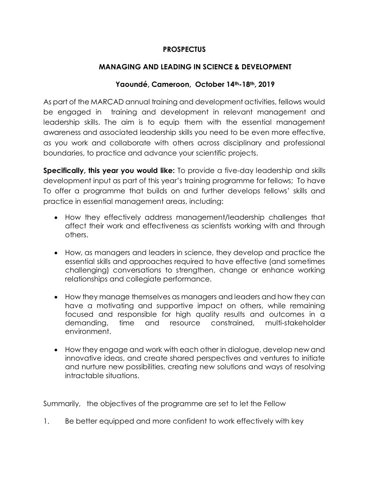## **PROSPECTUS**

## **MANAGING AND LEADING IN SCIENCE & DEVELOPMENT**

### **Yaoundé, Cameroon, October 14th-18th, 2019**

As part of the MARCAD annual training and development activities, fellows would be engaged in training and development in relevant management and leadership skills. The aim is to equip them with the essential management awareness and associated leadership skills you need to be even more effective, as you work and collaborate with others across disciplinary and professional boundaries, to practice and advance your scientific projects.

**Specifically, this year you would like:** To provide a five-day leadership and skills development input as part of this year's training programme for fellows; To have To offer a programme that builds on and further develops fellows' skills and practice in essential management areas, including:

- How they effectively address management/leadership challenges that affect their work and effectiveness as scientists working with and through others.
- How, as managers and leaders in science, they develop and practice the essential skills and approaches required to have effective (and sometimes challenging) conversations to strengthen, change or enhance working relationships and collegiate performance.
- How they manage themselves as managers and leaders and how they can have a motivating and supportive impact on others, while remaining focused and responsible for high quality results and outcomes in a demanding, time and resource constrained, multi-stakeholder environment.
- How they engage and work with each other in dialogue, develop new and innovative ideas, and create shared perspectives and ventures to initiate and nurture new possibilities, creating new solutions and ways of resolving intractable situations.

Summarily, the objectives of the programme are set to let the Fellow

1. Be better equipped and more confident to work effectively with key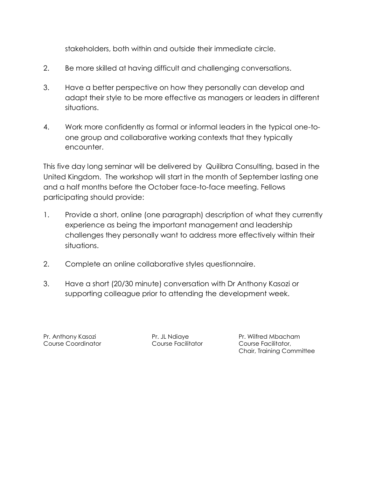stakeholders, both within and outside their immediate circle.

- 2. Be more skilled at having difficult and challenging conversations.
- 3. Have a better perspective on how they personally can develop and adapt their style to be more effective as managers or leaders in different situations.
- 4. Work more confidently as formal or informal leaders in the typical one-toone group and collaborative working contexts that they typically encounter.

This five day long seminar will be delivered by Quilibra Consulting, based in the United Kingdom. The workshop will start in the month of September lasting one and a half months before the October face-to-face meeting. Fellows participating should provide:

- 1. Provide a short, online (one paragraph) description of what they currently experience as being the important management and leadership challenges they personally want to address more effectively within their situations.
- 2. Complete an online collaborative styles questionnaire.
- 3. Have a short (20/30 minute) conversation with Dr Anthony Kasozi or supporting colleague prior to attending the development week.

Course Coordinator Course Facilitator Course Facilitator,

Pr. Anthony Kasozi **Pr. JL Ndiaye Pr. Anthony Kasozi** Pr. Wilfred Mbacham Chair, Training Committee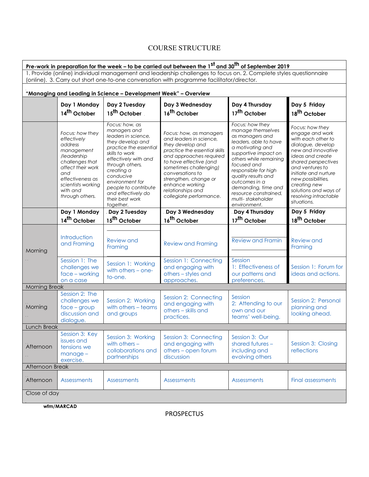# COURSE STRUCTURE

| <u>Pre-work in preparation for the week – to be carried out between the 1<sup>st</sup> and 30<sup>th</sup> of September 2019</u>                                                                               |                                                                                                                                                                                                |                                                                                                                                                                                                                                                                                              |                                                                                                                                                                                                                                                                                                        |                                                                                                                                                                                                                                                                                                                            |                                                                                                                                                                                                                                                                                                  |  |  |  |
|----------------------------------------------------------------------------------------------------------------------------------------------------------------------------------------------------------------|------------------------------------------------------------------------------------------------------------------------------------------------------------------------------------------------|----------------------------------------------------------------------------------------------------------------------------------------------------------------------------------------------------------------------------------------------------------------------------------------------|--------------------------------------------------------------------------------------------------------------------------------------------------------------------------------------------------------------------------------------------------------------------------------------------------------|----------------------------------------------------------------------------------------------------------------------------------------------------------------------------------------------------------------------------------------------------------------------------------------------------------------------------|--------------------------------------------------------------------------------------------------------------------------------------------------------------------------------------------------------------------------------------------------------------------------------------------------|--|--|--|
| 1. Provide (online) individual management and leadership challenges to focus on. 2. Complete styles questionnaire<br>(online). 3. Carry out short one-to-one conversation with programme facilitator/director. |                                                                                                                                                                                                |                                                                                                                                                                                                                                                                                              |                                                                                                                                                                                                                                                                                                        |                                                                                                                                                                                                                                                                                                                            |                                                                                                                                                                                                                                                                                                  |  |  |  |
| "Managing and Leading in Science - Development Week" - Overview                                                                                                                                                |                                                                                                                                                                                                |                                                                                                                                                                                                                                                                                              |                                                                                                                                                                                                                                                                                                        |                                                                                                                                                                                                                                                                                                                            |                                                                                                                                                                                                                                                                                                  |  |  |  |
|                                                                                                                                                                                                                | Day 1 Monday<br>14 <sup>th</sup> October                                                                                                                                                       | Day 2 Tuesday<br>15 <sup>th</sup> October                                                                                                                                                                                                                                                    | Day 3 Wednesday<br>16 <sup>th</sup> October                                                                                                                                                                                                                                                            | Day 4 Thursday<br>17 <sup>th</sup> October                                                                                                                                                                                                                                                                                 | Day 5 Friday<br>18 <sup>th</sup> October                                                                                                                                                                                                                                                         |  |  |  |
|                                                                                                                                                                                                                | Focus: how they<br>effectively<br>address<br>management<br>/leadership<br>challenges that<br>affect their work<br>and<br>effectiveness as<br>scientists working<br>with and<br>through others. | Focus: how, as<br>managers and<br>leaders in science,<br>they develop and<br>practice the essential<br>skills to work<br>effectively with and<br>through others,<br>creating a<br>conducive<br>environment for<br>people to contribute<br>and effectively do<br>their best work<br>together. | Focus: how, as managers<br>and leaders in science,<br>they develop and<br>practice the essential skills<br>and approaches required<br>to have effective (and<br>sometimes challenging)<br>conversations to<br>strengthen, change or<br>enhance working<br>relationships and<br>collegiate performance. | Focus: how they<br>manage themselves<br>as managers and<br>leaders, able to have<br>a motivating and<br>supportive impact on<br>others while remaining<br>focused and<br>responsible for high<br>quality results and<br>outcomes in a<br>demanding, time and<br>resource constrained,<br>multi-stakeholder<br>environment. | Focus: how they<br>engage and work<br>with each other to<br>dialoque, develop<br>new and innovative<br>ideas and create<br>shared perspectives<br>and ventures to<br>initiate and nurture<br>new possibilities,<br>creating new<br>solutions and ways of<br>resolving intractable<br>situations. |  |  |  |
|                                                                                                                                                                                                                | Day 1 Monday<br>14 <sup>th</sup> October                                                                                                                                                       | Day 2 Tuesday<br>15 <sup>th</sup> October                                                                                                                                                                                                                                                    | Day 3 Wednesday<br>16 <sup>th</sup> October                                                                                                                                                                                                                                                            | Day 4 Thursday<br>17 <sup>th</sup> October                                                                                                                                                                                                                                                                                 | Day 5 Friday<br>18 <sup>th</sup> October                                                                                                                                                                                                                                                         |  |  |  |
| Morning                                                                                                                                                                                                        | Introduction<br>and Framing                                                                                                                                                                    | Review and<br>Framing                                                                                                                                                                                                                                                                        | <b>Review and Framing</b>                                                                                                                                                                                                                                                                              | <b>Review and Framin</b>                                                                                                                                                                                                                                                                                                   | <b>Review and</b><br>Framing                                                                                                                                                                                                                                                                     |  |  |  |
|                                                                                                                                                                                                                | Session 1: The<br>challenges we<br>$face - working$<br>on a case                                                                                                                               | Session 1: Working<br>with others - one-<br>to-one.                                                                                                                                                                                                                                          | Session 1: Connecting<br>and engaging with<br>others - styles and<br>approaches.                                                                                                                                                                                                                       | Session<br>1: Effectiveness of<br>our patterns and<br>preferences.                                                                                                                                                                                                                                                         | Session 1: Forum for<br>ideas and actions.                                                                                                                                                                                                                                                       |  |  |  |
| <b>Morning Break</b>                                                                                                                                                                                           |                                                                                                                                                                                                |                                                                                                                                                                                                                                                                                              |                                                                                                                                                                                                                                                                                                        |                                                                                                                                                                                                                                                                                                                            |                                                                                                                                                                                                                                                                                                  |  |  |  |
| Morning                                                                                                                                                                                                        | Session 2: The<br>challenges we<br>$face - group$<br>discussion and<br>dialogue.                                                                                                               | Session 2: Working<br>with others - teams<br>and groups                                                                                                                                                                                                                                      | Session 2: Connecting<br>and engaging with<br>others - skills and<br>practices.                                                                                                                                                                                                                        | Session<br>2: Attending to our<br>own and our<br>teams' well-being.                                                                                                                                                                                                                                                        | Session 2: Personal<br>planning and<br>looking ahead.                                                                                                                                                                                                                                            |  |  |  |
| Lunch Break                                                                                                                                                                                                    |                                                                                                                                                                                                |                                                                                                                                                                                                                                                                                              |                                                                                                                                                                                                                                                                                                        |                                                                                                                                                                                                                                                                                                                            |                                                                                                                                                                                                                                                                                                  |  |  |  |
| Afternoon                                                                                                                                                                                                      | Session 3: Key<br>issues and<br>tensions we<br>$m$ anage $-$<br>exercise.                                                                                                                      | Session 3: Working<br>with others $-$<br>collaborations and<br>partnerships                                                                                                                                                                                                                  | Session 3: Connecting<br>and engaging with<br>others - open forum<br>discussion                                                                                                                                                                                                                        | Session 3: Our<br>shared futures -<br>including and<br>evolving others                                                                                                                                                                                                                                                     | Session 3: Closing<br>reflections                                                                                                                                                                                                                                                                |  |  |  |
|                                                                                                                                                                                                                | Afternoon Break                                                                                                                                                                                |                                                                                                                                                                                                                                                                                              |                                                                                                                                                                                                                                                                                                        |                                                                                                                                                                                                                                                                                                                            |                                                                                                                                                                                                                                                                                                  |  |  |  |
| Afternoon                                                                                                                                                                                                      | <b>Assessments</b>                                                                                                                                                                             | <b>Assessments</b>                                                                                                                                                                                                                                                                           | <b>Assessments</b>                                                                                                                                                                                                                                                                                     | <b>Assessments</b>                                                                                                                                                                                                                                                                                                         | Final assessments                                                                                                                                                                                                                                                                                |  |  |  |
| Close of day                                                                                                                                                                                                   |                                                                                                                                                                                                |                                                                                                                                                                                                                                                                                              |                                                                                                                                                                                                                                                                                                        |                                                                                                                                                                                                                                                                                                                            |                                                                                                                                                                                                                                                                                                  |  |  |  |

**wfm/MARCAD**

PROSPECTUS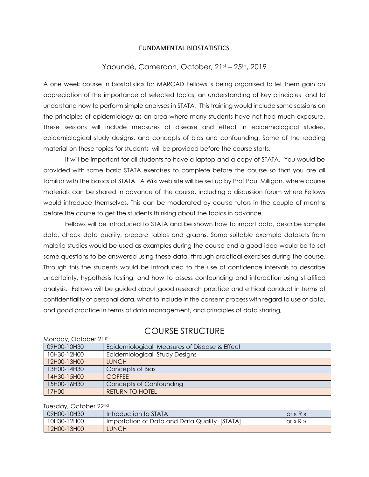#### FUNDAMENTAL BIOSTATISTICS

#### Yaoundé, Cameroon, October, 21st – 25th, 2019

A one week course in biostatistics for MARCAD Fellows is being organised to let them gain an appreciation of the importance of selected topics, an understanding of key principles and to understand how to perform simple analyses in STATA. This training would include some sessions on the principles of epidemiology as an area where many students have not had much exposure. These sessions will include measures of disease and effect in epidemiological studies, epidemiological study designs, and concepts of bias and confounding. Some of the reading material on these topics for students will be provided before the course starts.

It will be important for all students to have a laptop and a copy of STATA. You would be provided with some basic STATA exercises to complete before the course so that you are all familiar with the basics of STATA. A Wiki web site will be set up by Prof Paul Milligan, where course materials can be shared in advance of the course, including a discussion forum where Fellows would introduce themselves. This can be moderated by course tutors in the couple of months before the course to get the students thinking about the topics in advance.

Fellows will be introduced to STATA and be shown how to import data, describe sample data, check data quality, prepare tables and graphs. Some suitable example datasets from malaria studies would be used as examples during the course and a good idea would be to set some questions to be answered using these data, through practical exercises during the course. Through this the students would be introduced to the use of confidence intervals to describe uncertainty, hypothesis testing, and how to assess confounding and interaction using stratified analysis. Fellows will be guided about good research practice and ethical conduct in terms of confidentiality of personal data, what to include in the consent process with regard to use of data, and good practice in terms of data management, and principles of data sharing,

#### Monday, October 21st 09H00-10H30 Epidemiological Measures of Disease & Effect 10H30-12H00 Epidemiological Study Designs 12H00-13H00 | LUNCH 13H00-14H30 Concepts of Bias 14H30-15H00 COFFEE 15H00-16H30 Concepts of Confounding 17H00 RETURN TO HOTEL

# COURSE STRUCTURE

#### Tuesday, October 22nd

| 09H00-10H30 | Introduction to STATA                        | $or \, \alpha \, R \, \nu$ |
|-------------|----------------------------------------------|----------------------------|
| 10H30-12H00 | Importation of Data and Data Quality [STATA] | or $\kappa$ R $\kappa$     |
| 12H00-13H00 | <b>LUNCH</b>                                 |                            |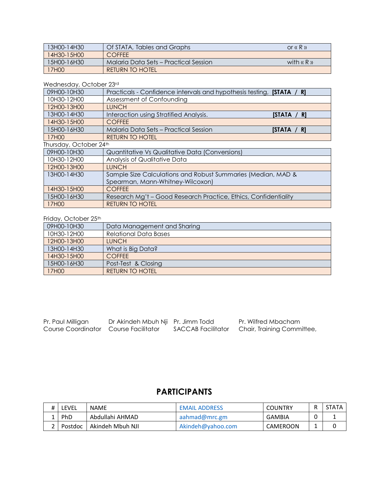| 13H00-14H30 | Of STATA, Tables and Graphs           | or $\kappa$ R $\kappa$ |
|-------------|---------------------------------------|------------------------|
| 14H30-15H00 | <b>COFFFE</b>                         |                        |
| 15H00-16H30 | Malaria Data Sets – Practical Session | with $\alpha$ R $\mu$  |
| 17H00       | <b>RETURN TO HOTEL</b>                |                        |

### Wednesday, October 23rd

| 09H00-10H30                                                                 | Practicals - Confidence intervals and hypothesis testing, <b>[STATA</b> / R] |             |  |  |
|-----------------------------------------------------------------------------|------------------------------------------------------------------------------|-------------|--|--|
| 10H30-12H00                                                                 | Assessment of Confounding                                                    |             |  |  |
| 12H00-13H00                                                                 | <b>LUNCH</b>                                                                 |             |  |  |
| 13H00-14H30                                                                 | Interaction using Stratified Analysis.                                       | [STATA / R] |  |  |
| 14H30-15H00                                                                 | <b>COFFEE</b>                                                                |             |  |  |
| 15H00-16H30                                                                 | <b>Malaria Data Sets - Practical Session</b>                                 | [STATA / R] |  |  |
| 17H00                                                                       | <b>RETURN TO HOTEL</b>                                                       |             |  |  |
| Thursday, October 24th                                                      |                                                                              |             |  |  |
| 09H00-10H30                                                                 | Quantitative Vs Qualitative Data (Conversions)                               |             |  |  |
| 10H30-12H00                                                                 | Analysis of Qualitative Data                                                 |             |  |  |
| 12H00-13H00                                                                 | <b>LUNCH</b>                                                                 |             |  |  |
| Sample Size Calculations and Robust Summaries (Median, MAD &<br>13H00-14H30 |                                                                              |             |  |  |
|                                                                             | Spearman, Mann-Whitney-Wilcoxon)                                             |             |  |  |
| 14H30-15H00                                                                 | <b>COFFEE</b>                                                                |             |  |  |
| 15H00-16H30                                                                 | Research Mg't - Good Research Practice, Ethics, Confidentiality              |             |  |  |
| 17H00                                                                       | <b>RETURN TO HOTEL</b>                                                       |             |  |  |

### Friday, October 25th

| 09H00-10H30 | Data Management and Sharing  |
|-------------|------------------------------|
| 10H30-12H00 | <b>Relational Data Bases</b> |
| 12H00-13H00 | <b>LUNCH</b>                 |
| 13H00-14H30 | What is Big Data?            |
| 14H30-15H00 | <b>COFFFE</b>                |
| 15H00-16H30 | Post-Test & Closing          |
| 17H00       | <b>RETURN TO HOTEL</b>       |

| Pr. Paul Milligan                     | Dr Akindeh Mbuh Nji Pr. Jimm Todd |                    | Pr. Wilfred Mbacham        |
|---------------------------------------|-----------------------------------|--------------------|----------------------------|
| Course Coordinator Course Facilitator |                                   | SACCAB Facilitator | Chair, Training Committee, |

# **PARTICIPANTS**

| Ħ | LEVEL   | <b>NAME</b>      | <b>EMAIL ADDRESS</b> | <b>COUNTRY</b> | STATA |
|---|---------|------------------|----------------------|----------------|-------|
|   | PhD     | Abdullahi AHMAD  | aahmad@mrc.gm        | GAMBIA         |       |
|   | Postdoc | Akindeh Mbuh NJI | Akindeh@yahoo.com    | CAMEROON       |       |